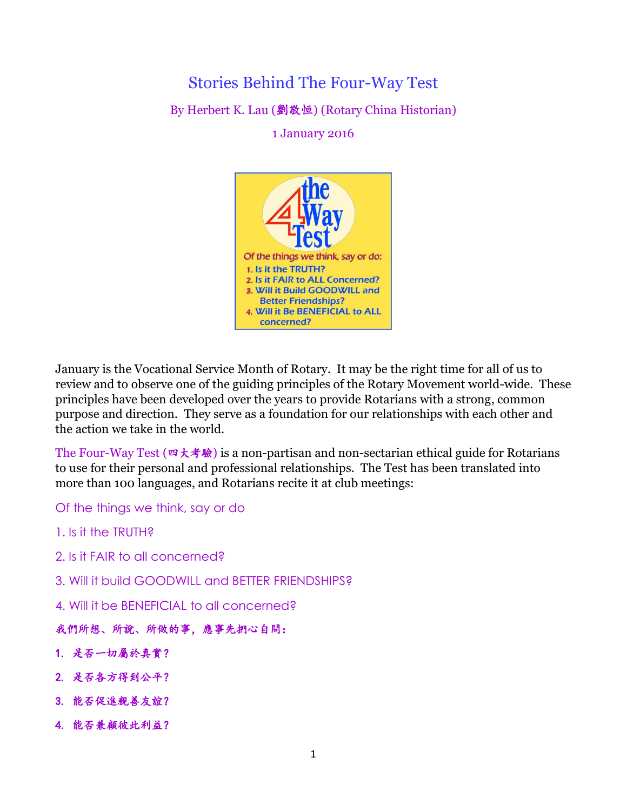# Stories Behind The Four-Way Test By Herbert K. Lau (劉敬恒) (Rotary China Historian)

1 January 2016



January is the Vocational Service Month of Rotary. It may be the right time for all of us to review and to observe one of the guiding principles of the Rotary Movement world-wide. These principles have been developed over the years to provide Rotarians with a strong, common purpose and direction. They serve as a foundation for our relationships with each other and the action we take in the world.

The Four-Way Test (四大考驗) is a non-partisan and non-sectarian ethical guide for Rotarians to use for their personal and professional relationships. The Test has been translated into more than 100 languages, and Rotarians recite it at club meetings:

Of the things we think, say or do

1. Is it the TRUTH?

- 2. Is it FAIR to all concerned?
- 3. Will it build GOODWILL and BETTER FRIENDSHIPS?

4. Will it be BENEFICIAL to all concerned?

#### 我們所想、所說、所做的事,應事先捫心自問:

- 1. 是否一切屬於真實?
- 2. 是否各方得到公平?
- 3. 能否促進親善友誼?
- 4. 能否兼顧彼此利益?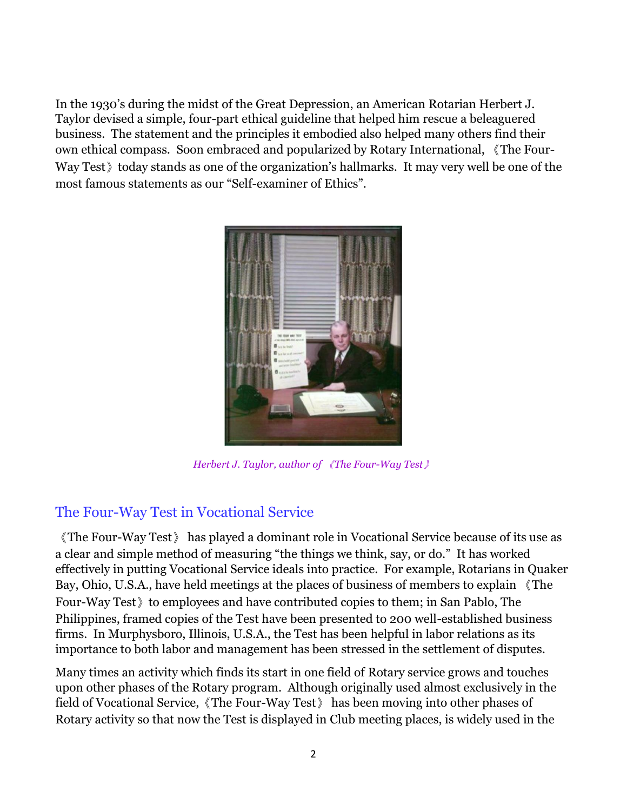In the 1930's during the midst of the Great Depression, an American Rotarian Herbert J. Taylor devised a simple, four-part ethical guideline that helped him rescue a beleaguered business. The statement and the principles it embodied also helped many others find their own ethical compass. Soon embraced and popularized by Rotary International, 《The Four-Way Test today stands as one of the organization's hallmarks. It may very well be one of the most famous statements as our "Self-examiner of Ethics".



*Herbert J. Taylor, author of* 《*The Four-Way Test*》

## The Four-Way Test in Vocational Service

《The Four-Way Test》 has played a dominant role in Vocational Service because of its use as a clear and simple method of measuring "the things we think, say, or do." It has worked effectively in putting Vocational Service ideals into practice. For example, Rotarians in Quaker Bay, Ohio, U.S.A., have held meetings at the places of business of members to explain 《The Four-Way Test to employees and have contributed copies to them; in San Pablo, The Philippines, framed copies of the Test have been presented to 200 well-established business firms. In Murphysboro, Illinois, U.S.A., the Test has been helpful in labor relations as its importance to both labor and management has been stressed in the settlement of disputes.

Many times an activity which finds its start in one field of Rotary service grows and touches upon other phases of the Rotary program. Although originally used almost exclusively in the field of Vocational Service,《The Four-Way Test》 has been moving into other phases of Rotary activity so that now the Test is displayed in Club meeting places, is widely used in the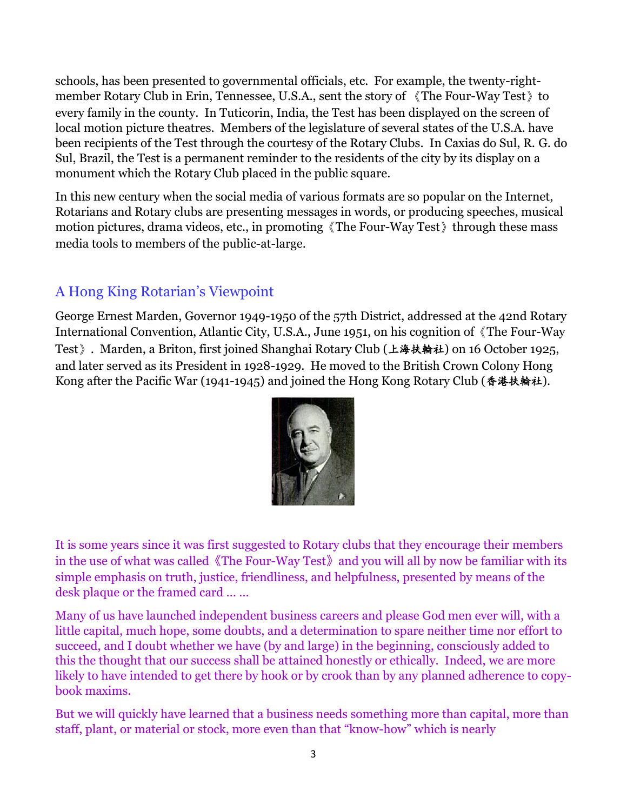schools, has been presented to governmental officials, etc. For example, the twenty-rightmember Rotary Club in Erin, Tennessee, U.S.A., sent the story of 《The Four-Way Test》to every family in the county. In Tuticorin, India, the Test has been displayed on the screen of local motion picture theatres. Members of the legislature of several states of the U.S.A. have been recipients of the Test through the courtesy of the Rotary Clubs. In Caxias do Sul, R. G. do Sul, Brazil, the Test is a permanent reminder to the residents of the city by its display on a monument which the Rotary Club placed in the public square.

In this new century when the social media of various formats are so popular on the Internet, Rotarians and Rotary clubs are presenting messages in words, or producing speeches, musical motion pictures, drama videos, etc., in promoting《The Four-Way Test》through these mass media tools to members of the public-at-large.

## A Hong King Rotarian's Viewpoint

George Ernest Marden, Governor 1949-1950 of the 57th District, addressed at the 42nd Rotary International Convention, Atlantic City, U.S.A., June 1951, on his cognition of《The Four-Way Test》. Marden, a Briton, first joined Shanghai Rotary Club (上海扶輪社) on 16 October 1925, and later served as its President in 1928-1929. He moved to the British Crown Colony Hong Kong after the Pacific War (1941-1945) and joined the Hong Kong Rotary Club (香港扶輪社).



It is some years since it was first suggested to Rotary clubs that they encourage their members in the use of what was called《The Four-Way Test》and you will all by now be familiar with its simple emphasis on truth, justice, friendliness, and helpfulness, presented by means of the desk plaque or the framed card … …

Many of us have launched independent business careers and please God men ever will, with a little capital, much hope, some doubts, and a determination to spare neither time nor effort to succeed, and I doubt whether we have (by and large) in the beginning, consciously added to this the thought that our success shall be attained honestly or ethically. Indeed, we are more likely to have intended to get there by hook or by crook than by any planned adherence to copybook maxims.

But we will quickly have learned that a business needs something more than capital, more than staff, plant, or material or stock, more even than that "know-how" which is nearly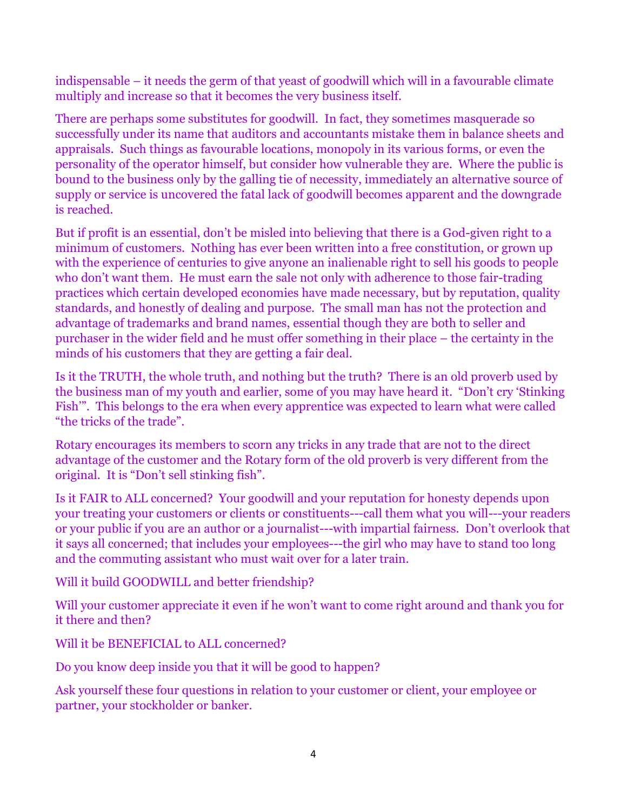indispensable – it needs the germ of that yeast of goodwill which will in a favourable climate multiply and increase so that it becomes the very business itself.

There are perhaps some substitutes for goodwill. In fact, they sometimes masquerade so successfully under its name that auditors and accountants mistake them in balance sheets and appraisals. Such things as favourable locations, monopoly in its various forms, or even the personality of the operator himself, but consider how vulnerable they are. Where the public is bound to the business only by the galling tie of necessity, immediately an alternative source of supply or service is uncovered the fatal lack of goodwill becomes apparent and the downgrade is reached.

But if profit is an essential, don't be misled into believing that there is a God-given right to a minimum of customers. Nothing has ever been written into a free constitution, or grown up with the experience of centuries to give anyone an inalienable right to sell his goods to people who don't want them. He must earn the sale not only with adherence to those fair-trading practices which certain developed economies have made necessary, but by reputation, quality standards, and honestly of dealing and purpose. The small man has not the protection and advantage of trademarks and brand names, essential though they are both to seller and purchaser in the wider field and he must offer something in their place – the certainty in the minds of his customers that they are getting a fair deal.

Is it the TRUTH, the whole truth, and nothing but the truth? There is an old proverb used by the business man of my youth and earlier, some of you may have heard it. "Don't cry 'Stinking Fish'". This belongs to the era when every apprentice was expected to learn what were called "the tricks of the trade".

Rotary encourages its members to scorn any tricks in any trade that are not to the direct advantage of the customer and the Rotary form of the old proverb is very different from the original. It is "Don't sell stinking fish".

Is it FAIR to ALL concerned? Your goodwill and your reputation for honesty depends upon your treating your customers or clients or constituents---call them what you will---your readers or your public if you are an author or a journalist---with impartial fairness. Don't overlook that it says all concerned; that includes your employees---the girl who may have to stand too long and the commuting assistant who must wait over for a later train.

Will it build GOODWILL and better friendship?

Will your customer appreciate it even if he won't want to come right around and thank you for it there and then?

Will it be BENEFICIAL to ALL concerned?

Do you know deep inside you that it will be good to happen?

Ask yourself these four questions in relation to your customer or client, your employee or partner, your stockholder or banker.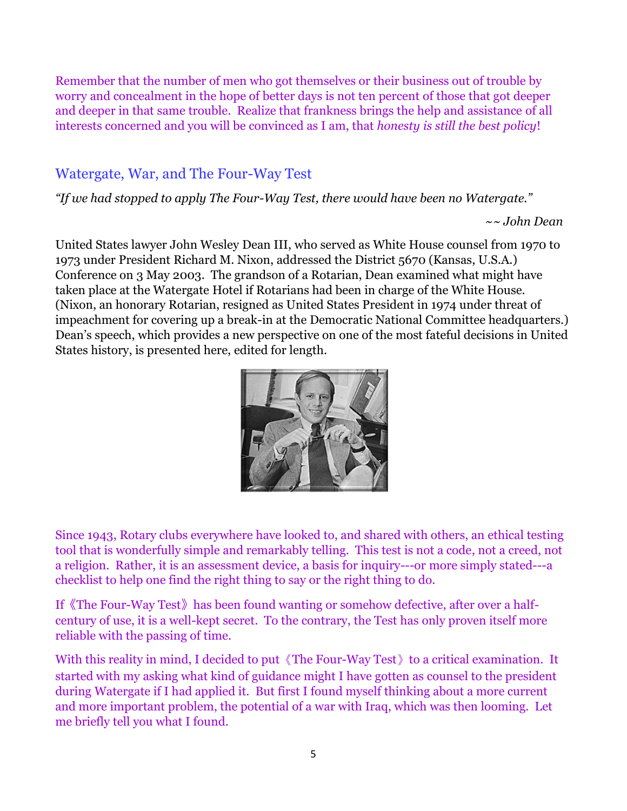Remember that the number of men who got themselves or their business out of trouble by worry and concealment in the hope of better days is not ten percent of those that got deeper and deeper in that same trouble. Realize that frankness brings the help and assistance of all interests concerned and you will be convinced as I am, that *honesty is still the best policy*!

## Watergate, War, and The Four-Way Test

*"If we had stopped to apply The Four-Way Test, there would have been no Watergate."*

 *~~ John Dean*

United States lawyer John Wesley Dean III, who served as White House counsel from 1970 to 1973 under President Richard M. Nixon, addressed the District 5670 (Kansas, U.S.A.) Conference on 3 May 2003. The grandson of a Rotarian, Dean examined what might have taken place at the Watergate Hotel if Rotarians had been in charge of the White House. (Nixon, an honorary Rotarian, resigned as United States President in 1974 under threat of impeachment for covering up a break-in at the Democratic National Committee headquarters.) Dean's speech, which provides a new perspective on one of the most fateful decisions in United States history, is presented here, edited for length.



Since 1943, Rotary clubs everywhere have looked to, and shared with others, an ethical testing tool that is wonderfully simple and remarkably telling. This test is not a code, not a creed, not a religion. Rather, it is an assessment device, a basis for inquiry---or more simply stated---a checklist to help one find the right thing to say or the right thing to do.

If《The Four-Way Test》has been found wanting or somehow defective, after over a halfcentury of use, it is a well-kept secret. To the contrary, the Test has only proven itself more reliable with the passing of time.

With this reality in mind, I decided to put 《The Four-Way Test》to a critical examination. It started with my asking what kind of guidance might I have gotten as counsel to the president during Watergate if I had applied it. But first I found myself thinking about a more current and more important problem, the potential of a war with Iraq, which was then looming. Let me briefly tell you what I found.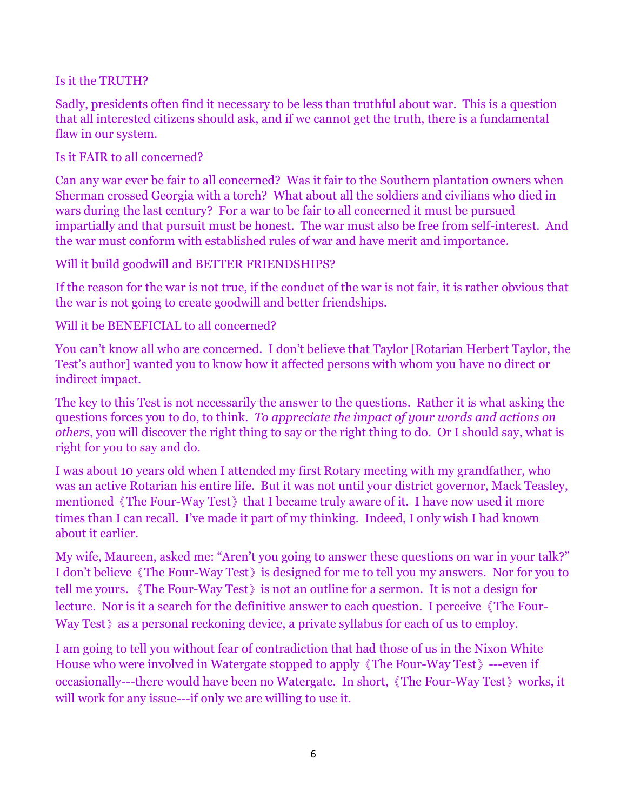#### Is it the TRUTH?

Sadly, presidents often find it necessary to be less than truthful about war. This is a question that all interested citizens should ask, and if we cannot get the truth, there is a fundamental flaw in our system.

#### Is it FAIR to all concerned?

Can any war ever be fair to all concerned? Was it fair to the Southern plantation owners when Sherman crossed Georgia with a torch? What about all the soldiers and civilians who died in wars during the last century? For a war to be fair to all concerned it must be pursued impartially and that pursuit must be honest. The war must also be free from self-interest. And the war must conform with established rules of war and have merit and importance.

### Will it build goodwill and BETTER FRIENDSHIPS?

If the reason for the war is not true, if the conduct of the war is not fair, it is rather obvious that the war is not going to create goodwill and better friendships.

### Will it be BENEFICIAL to all concerned?

You can't know all who are concerned. I don't believe that Taylor [Rotarian Herbert Taylor, the Test's author] wanted you to know how it affected persons with whom you have no direct or indirect impact.

The key to this Test is not necessarily the answer to the questions. Rather it is what asking the questions forces you to do, to think. *To appreciate the impact of your words and actions on others*, you will discover the right thing to say or the right thing to do. Or I should say, what is right for you to say and do.

I was about 10 years old when I attended my first Rotary meeting with my grandfather, who was an active Rotarian his entire life. But it was not until your district governor, Mack Teasley, mentioned 《The Four-Way Test》that I became truly aware of it. I have now used it more times than I can recall. I've made it part of my thinking. Indeed, I only wish I had known about it earlier.

My wife, Maureen, asked me: "Aren't you going to answer these questions on war in your talk?" I don't believe《The Four-Way Test》is designed for me to tell you my answers. Nor for you to tell me yours. 《The Four-Way Test》is not an outline for a sermon. It is not a design for lecture. Nor is it a search for the definitive answer to each question. I perceive 《The Four-Way Test》as a personal reckoning device, a private syllabus for each of us to employ.

I am going to tell you without fear of contradiction that had those of us in the Nixon White House who were involved in Watergate stopped to apply《The Four-Way Test》---even if occasionally---there would have been no Watergate. In short,《The Four-Way Test》works, it will work for any issue—-if only we are willing to use it.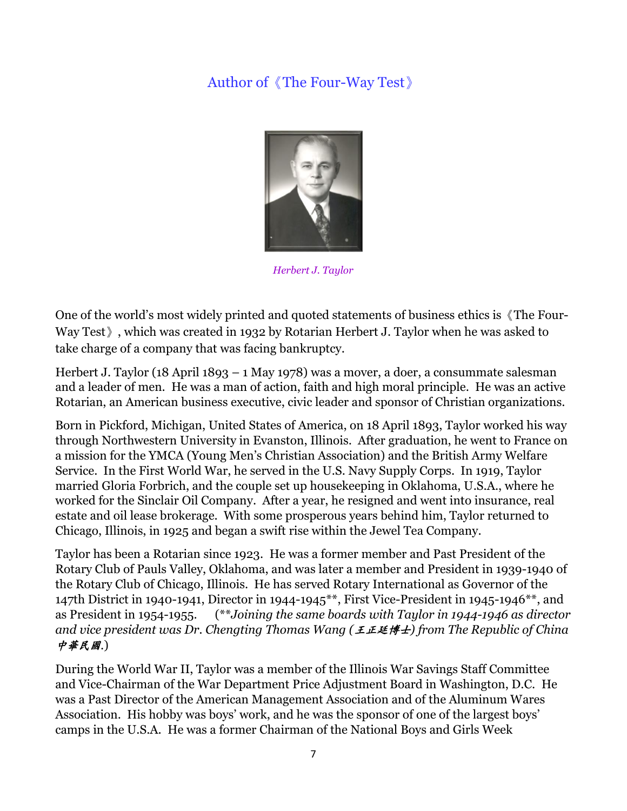## Author of《The Four-Way Test》



*Herbert J. Taylor*

One of the world's most widely printed and quoted statements of business ethics is《The Four-Way Test》, which was created in 1932 by Rotarian Herbert J. Taylor when he was asked to take charge of a company that was facing bankruptcy.

Herbert J. Taylor (18 April 1893 – 1 May 1978) was a mover, a doer, a consummate salesman and a leader of men. He was a man of action, faith and high moral principle. He was an active Rotarian, an American business executive, civic leader and sponsor of Christian organizations.

Born in Pickford, Michigan, United States of America, on 18 April 1893, Taylor worked his way through Northwestern University in Evanston, Illinois. After graduation, he went to France on a mission for the YMCA (Young Men's Christian Association) and the British Army Welfare Service. In the First World War, he served in the U.S. Navy Supply Corps. In 1919, Taylor married Gloria Forbrich, and the couple set up housekeeping in Oklahoma, U.S.A., where he worked for the Sinclair Oil Company. After a year, he resigned and went into insurance, real estate and oil lease brokerage. With some prosperous years behind him, Taylor returned to Chicago, Illinois, in 1925 and began a swift rise within the Jewel Tea Company.

Taylor has been a Rotarian since 1923. He was a former member and Past President of the Rotary Club of Pauls Valley, Oklahoma, and was later a member and President in 1939-1940 of the Rotary Club of Chicago, Illinois. He has served Rotary International as Governor of the 147th District in 1940-1941, Director in 1944-1945\*\*, First Vice-President in 1945-1946\*\*, and as President in 1954-1955. (\*\**Joining the same boards with Taylor in 1944-1946 as director and vice president was Dr. Chengting Thomas Wang (*王正廷博士*) from The Republic of China* 中華民國.)

During the World War II, Taylor was a member of the Illinois War Savings Staff Committee and Vice-Chairman of the War Department Price Adjustment Board in Washington, D.C. He was a Past Director of the American Management Association and of the Aluminum Wares Association. His hobby was boys' work, and he was the sponsor of one of the largest boys' camps in the U.S.A. He was a former Chairman of the National Boys and Girls Week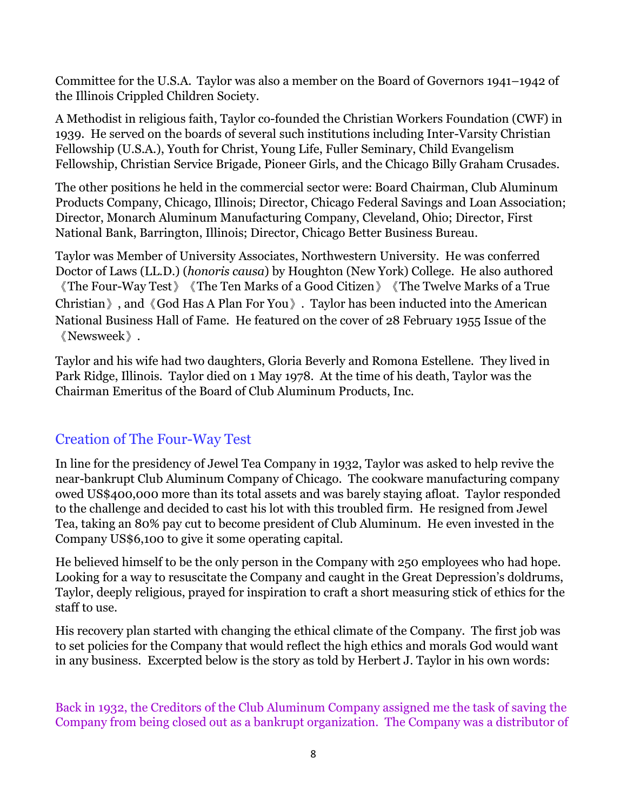Committee for the U.S.A. Taylor was also a member on the Board of Governors 1941–1942 of the Illinois Crippled Children Society.

A Methodist in religious faith, Taylor co-founded the Christian Workers Foundation (CWF) in 1939. He served on the boards of several such institutions including Inter-Varsity Christian Fellowship (U.S.A.), Youth for Christ, Young Life, Fuller Seminary, Child Evangelism Fellowship, Christian Service Brigade, Pioneer Girls, and the Chicago Billy Graham Crusades.

The other positions he held in the commercial sector were: Board Chairman, Club Aluminum Products Company, Chicago, Illinois; Director, Chicago Federal Savings and Loan Association; Director, Monarch Aluminum Manufacturing Company, Cleveland, Ohio; Director, First National Bank, Barrington, Illinois; Director, Chicago Better Business Bureau.

Taylor was Member of University Associates, Northwestern University. He was conferred Doctor of Laws (LL.D.) (*honoris causa*) by Houghton (New York) College. He also authored 《The Four-Way Test》《The Ten Marks of a Good Citizen》《The Twelve Marks of a True Christian》, and《God Has A Plan For You》. Taylor has been inducted into the American National Business Hall of Fame. He featured on the cover of 28 February 1955 Issue of the 《Newsweek》.

Taylor and his wife had two daughters, Gloria Beverly and Romona Estellene. They lived in Park Ridge, Illinois. Taylor died on 1 May 1978. At the time of his death, Taylor was the Chairman Emeritus of the Board of Club Aluminum Products, Inc.

## Creation of The Four-Way Test

In line for the presidency of Jewel Tea Company in 1932, Taylor was asked to help revive the near-bankrupt Club Aluminum Company of Chicago. The cookware manufacturing company owed US\$400,000 more than its total assets and was barely staying afloat. Taylor responded to the challenge and decided to cast his lot with this troubled firm. He resigned from Jewel Tea, taking an 80% pay cut to become president of Club Aluminum. He even invested in the Company US\$6,100 to give it some operating capital.

He believed himself to be the only person in the Company with 250 employees who had hope. Looking for a way to resuscitate the Company and caught in the Great Depression's doldrums, Taylor, deeply religious, prayed for inspiration to craft a short measuring stick of ethics for the staff to use.

His recovery plan started with changing the ethical climate of the Company. The first job was to set policies for the Company that would reflect the high ethics and morals God would want in any business. Excerpted below is the story as told by Herbert J. Taylor in his own words:

Back in 1932, the Creditors of the Club Aluminum Company assigned me the task of saving the Company from being closed out as a bankrupt organization. The Company was a distributor of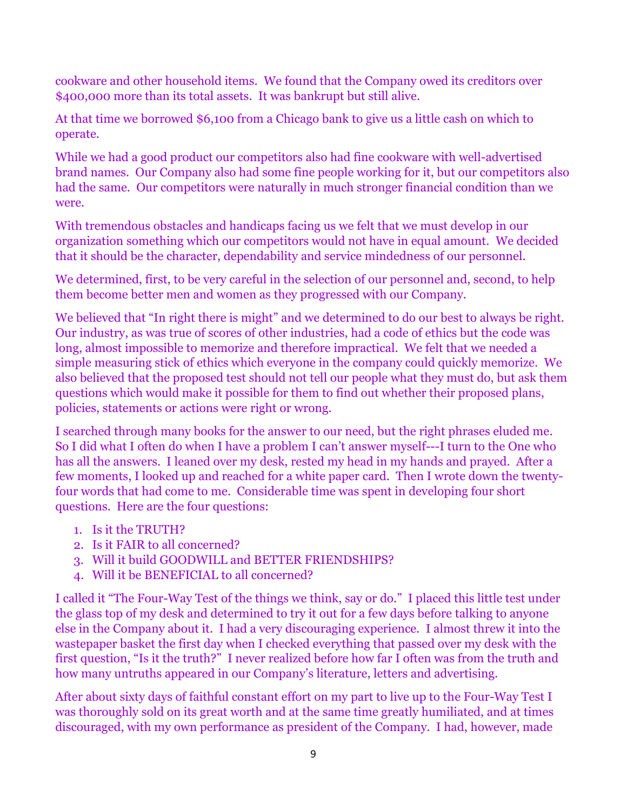cookware and other household items. We found that the Company owed its creditors over \$400,000 more than its total assets. It was bankrupt but still alive.

At that time we borrowed \$6,100 from a Chicago bank to give us a little cash on which to operate.

While we had a good product our competitors also had fine cookware with well-advertised brand names. Our Company also had some fine people working for it, but our competitors also had the same. Our competitors were naturally in much stronger financial condition than we were.

With tremendous obstacles and handicaps facing us we felt that we must develop in our organization something which our competitors would not have in equal amount. We decided that it should be the character, dependability and service mindedness of our personnel.

We determined, first, to be very careful in the selection of our personnel and, second, to help them become better men and women as they progressed with our Company.

We believed that "In right there is might" and we determined to do our best to always be right. Our industry, as was true of scores of other industries, had a code of ethics but the code was long, almost impossible to memorize and therefore impractical. We felt that we needed a simple measuring stick of ethics which everyone in the company could quickly memorize. We also believed that the proposed test should not tell our people what they must do, but ask them questions which would make it possible for them to find out whether their proposed plans, policies, statements or actions were right or wrong.

I searched through many books for the answer to our need, but the right phrases eluded me. So I did what I often do when I have a problem I can't answer myself---I turn to the One who has all the answers. I leaned over my desk, rested my head in my hands and prayed. After a few moments, I looked up and reached for a white paper card. Then I wrote down the twentyfour words that had come to me. Considerable time was spent in developing four short questions. Here are the four questions:

- 1. Is it the TRUTH?
- 2. Is it FAIR to all concerned?
- 3. Will it build GOODWILL and BETTER FRIENDSHIPS?
- 4. Will it be BENEFICIAL to all concerned?

I called it "The Four-Way Test of the things we think, say or do." I placed this little test under the glass top of my desk and determined to try it out for a few days before talking to anyone else in the Company about it. I had a very discouraging experience. I almost threw it into the wastepaper basket the first day when I checked everything that passed over my desk with the first question, "Is it the truth?" I never realized before how far I often was from the truth and how many untruths appeared in our Company's literature, letters and advertising.

After about sixty days of faithful constant effort on my part to live up to the Four-Way Test I was thoroughly sold on its great worth and at the same time greatly humiliated, and at times discouraged, with my own performance as president of the Company. I had, however, made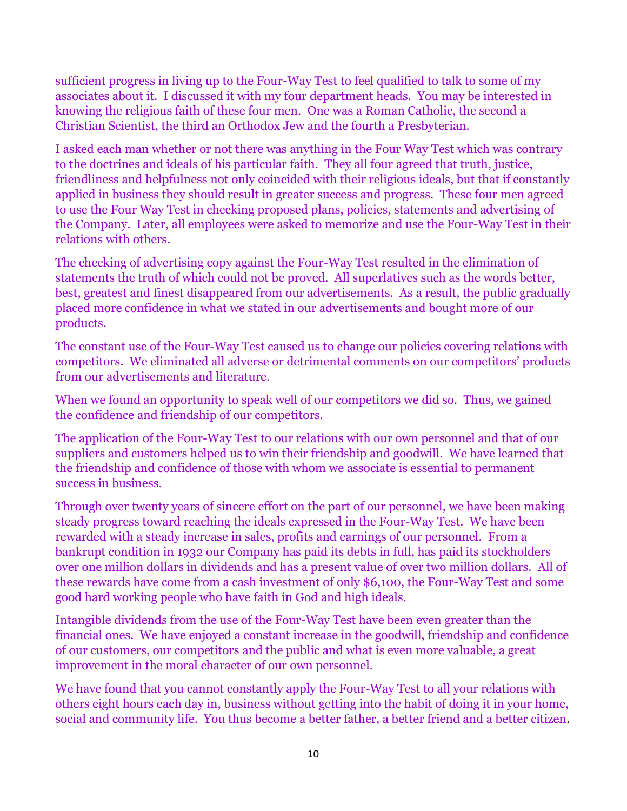sufficient progress in living up to the Four-Way Test to feel qualified to talk to some of my associates about it. I discussed it with my four department heads. You may be interested in knowing the religious faith of these four men. One was a Roman Catholic, the second a Christian Scientist, the third an Orthodox Jew and the fourth a Presbyterian.

I asked each man whether or not there was anything in the Four Way Test which was contrary to the doctrines and ideals of his particular faith. They all four agreed that truth, justice, friendliness and helpfulness not only coincided with their religious ideals, but that if constantly applied in business they should result in greater success and progress. These four men agreed to use the Four Way Test in checking proposed plans, policies, statements and advertising of the Company. Later, all employees were asked to memorize and use the Four-Way Test in their relations with others.

The checking of advertising copy against the Four-Way Test resulted in the elimination of statements the truth of which could not be proved. All superlatives such as the words better, best, greatest and finest disappeared from our advertisements. As a result, the public gradually placed more confidence in what we stated in our advertisements and bought more of our products.

The constant use of the Four-Way Test caused us to change our policies covering relations with competitors. We eliminated all adverse or detrimental comments on our competitors' products from our advertisements and literature.

When we found an opportunity to speak well of our competitors we did so. Thus, we gained the confidence and friendship of our competitors.

The application of the Four-Way Test to our relations with our own personnel and that of our suppliers and customers helped us to win their friendship and goodwill. We have learned that the friendship and confidence of those with whom we associate is essential to permanent success in business.

Through over twenty years of sincere effort on the part of our personnel, we have been making steady progress toward reaching the ideals expressed in the Four-Way Test. We have been rewarded with a steady increase in sales, profits and earnings of our personnel. From a bankrupt condition in 1932 our Company has paid its debts in full, has paid its stockholders over one million dollars in dividends and has a present value of over two million dollars. All of these rewards have come from a cash investment of only \$6,100, the Four-Way Test and some good hard working people who have faith in God and high ideals.

Intangible dividends from the use of the Four-Way Test have been even greater than the financial ones. We have enjoyed a constant increase in the goodwill, friendship and confidence of our customers, our competitors and the public and what is even more valuable, a great improvement in the moral character of our own personnel.

We have found that you cannot constantly apply the Four-Way Test to all your relations with others eight hours each day in, business without getting into the habit of doing it in your home, social and community life. You thus become a better father, a better friend and a better citizen.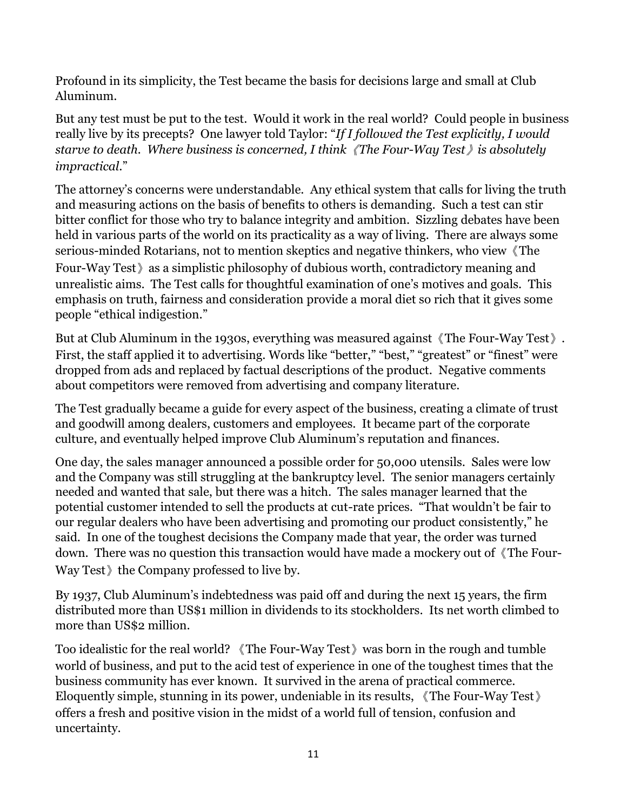Profound in its simplicity, the Test became the basis for decisions large and small at Club Aluminum.

But any test must be put to the test. Would it work in the real world? Could people in business really live by its precepts? One lawyer told Taylor: "*If I followed the Test explicitly, I would starve to death. Where business is concerned, I think*《*The Four-Way Test*》*is absolutely impractical*."

The attorney's concerns were understandable. Any ethical system that calls for living the truth and measuring actions on the basis of benefits to others is demanding. Such a test can stir bitter conflict for those who try to balance integrity and ambition. Sizzling debates have been held in various parts of the world on its practicality as a way of living. There are always some serious-minded Rotarians, not to mention skeptics and negative thinkers, who view《The Four-Way Test》as a simplistic philosophy of dubious worth, contradictory meaning and unrealistic aims. The Test calls for thoughtful examination of one's motives and goals. This emphasis on truth, fairness and consideration provide a moral diet so rich that it gives some people "ethical indigestion."

But at Club Aluminum in the 1930s, everything was measured against《The Four-Way Test》. First, the staff applied it to advertising. Words like "better," "best," "greatest" or "finest" were dropped from ads and replaced by factual descriptions of the product. Negative comments about competitors were removed from advertising and company literature.

The Test gradually became a guide for every aspect of the business, creating a climate of trust and goodwill among dealers, customers and employees. It became part of the corporate culture, and eventually helped improve Club Aluminum's reputation and finances.

One day, the sales manager announced a possible order for 50,000 utensils. Sales were low and the Company was still struggling at the bankruptcy level. The senior managers certainly needed and wanted that sale, but there was a hitch. The sales manager learned that the potential customer intended to sell the products at cut-rate prices. "That wouldn't be fair to our regular dealers who have been advertising and promoting our product consistently," he said. In one of the toughest decisions the Company made that year, the order was turned down. There was no question this transaction would have made a mockery out of《The Four-Way Test the Company professed to live by.

By 1937, Club Aluminum's indebtedness was paid off and during the next 15 years, the firm distributed more than US\$1 million in dividends to its stockholders. Its net worth climbed to more than US\$2 million.

Too idealistic for the real world? 《The Four-Way Test》was born in the rough and tumble world of business, and put to the acid test of experience in one of the toughest times that the business community has ever known. It survived in the arena of practical commerce. Eloquently simple, stunning in its power, undeniable in its results, 《The Four-Way Test》 offers a fresh and positive vision in the midst of a world full of tension, confusion and uncertainty.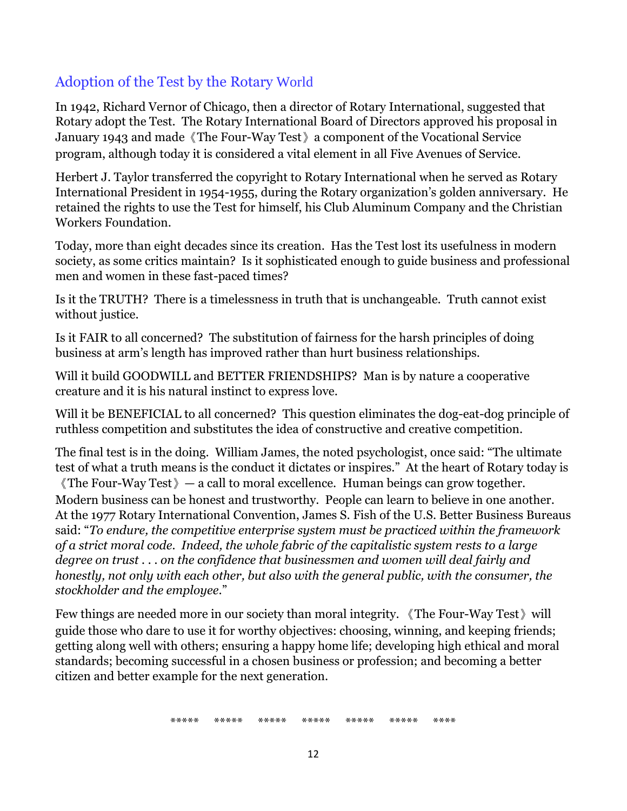## Adoption of the Test by the Rotary World

In 1942, Richard Vernor of Chicago, then a director of Rotary International, suggested that Rotary adopt the Test. The Rotary International Board of Directors approved his proposal in January 1943 and made《The Four-Way Test》a component of the Vocational Service program, although today it is considered a vital element in all Five Avenues of Service.

Herbert J. Taylor transferred the copyright to Rotary International when he served as Rotary International President in 1954-1955, during the Rotary organization's golden anniversary. He retained the rights to use the Test for himself, his Club Aluminum Company and the Christian Workers Foundation.

Today, more than eight decades since its creation. Has the Test lost its usefulness in modern society, as some critics maintain? Is it sophisticated enough to guide business and professional men and women in these fast-paced times?

Is it the TRUTH? There is a timelessness in truth that is unchangeable. Truth cannot exist without justice.

Is it FAIR to all concerned? The substitution of fairness for the harsh principles of doing business at arm's length has improved rather than hurt business relationships.

Will it build GOODWILL and BETTER FRIENDSHIPS? Man is by nature a cooperative creature and it is his natural instinct to express love.

Will it be BENEFICIAL to all concerned? This question eliminates the dog-eat-dog principle of ruthless competition and substitutes the idea of constructive and creative competition.

The final test is in the doing. William James, the noted psychologist, once said: "The ultimate test of what a truth means is the conduct it dictates or inspires." At the heart of Rotary today is

《The Four-Way Test》— a call to moral excellence. Human beings can grow together. Modern business can be honest and trustworthy. People can learn to believe in one another. At the 1977 Rotary International Convention, James S. Fish of the U.S. Better Business Bureaus said: "*To endure, the competitive enterprise system must be practiced within the framework of a strict moral code. Indeed, the whole fabric of the capitalistic system rests to a large degree on trust . . . on the confidence that businessmen and women will deal fairly and honestly, not only with each other, but also with the general public, with the consumer, the stockholder and the employee*."

Few things are needed more in our society than moral integrity. 《The Four-Way Test》will guide those who dare to use it for worthy objectives: choosing, winning, and keeping friends; getting along well with others; ensuring a happy home life; developing high ethical and moral standards; becoming successful in a chosen business or profession; and becoming a better citizen and better example for the next generation.

\*\*\*\*\* \*\*\*\*\* \*\*\*\*\* \*\*\*\*\* \*\*\*\*\* \*\*\*\*\* \*\*\*\*